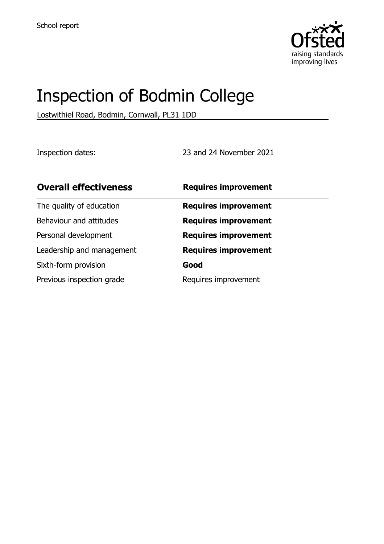

# Inspection of Bodmin College

Lostwithiel Road, Bodmin, Cornwall, PL31 1DD

Inspection dates: 23 and 24 November 2021

| <b>Overall effectiveness</b> | <b>Requires improvement</b> |  |
|------------------------------|-----------------------------|--|
| The quality of education     | <b>Requires improvement</b> |  |
| Behaviour and attitudes      | <b>Requires improvement</b> |  |
| Personal development         | <b>Requires improvement</b> |  |
| Leadership and management    | <b>Requires improvement</b> |  |
| Sixth-form provision         | Good                        |  |
| Previous inspection grade    | Requires improvement        |  |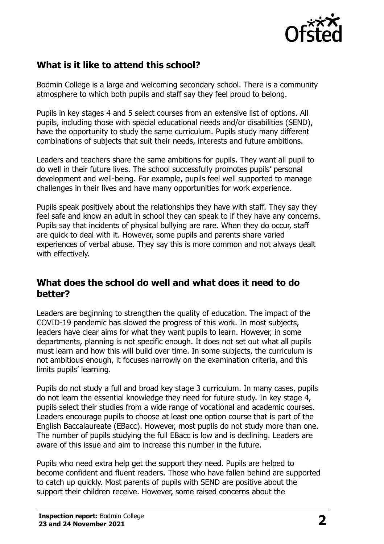

# **What is it like to attend this school?**

Bodmin College is a large and welcoming secondary school. There is a community atmosphere to which both pupils and staff say they feel proud to belong.

Pupils in key stages 4 and 5 select courses from an extensive list of options. All pupils, including those with special educational needs and/or disabilities (SEND), have the opportunity to study the same curriculum. Pupils study many different combinations of subjects that suit their needs, interests and future ambitions.

Leaders and teachers share the same ambitions for pupils. They want all pupil to do well in their future lives. The school successfully promotes pupils' personal development and well-being. For example, pupils feel well supported to manage challenges in their lives and have many opportunities for work experience.

Pupils speak positively about the relationships they have with staff. They say they feel safe and know an adult in school they can speak to if they have any concerns. Pupils say that incidents of physical bullying are rare. When they do occur, staff are quick to deal with it. However, some pupils and parents share varied experiences of verbal abuse. They say this is more common and not always dealt with effectively.

#### **What does the school do well and what does it need to do better?**

Leaders are beginning to strengthen the quality of education. The impact of the COVID-19 pandemic has slowed the progress of this work. In most subjects, leaders have clear aims for what they want pupils to learn. However, in some departments, planning is not specific enough. It does not set out what all pupils must learn and how this will build over time. In some subjects, the curriculum is not ambitious enough, it focuses narrowly on the examination criteria, and this limits pupils' learning.

Pupils do not study a full and broad key stage 3 curriculum. In many cases, pupils do not learn the essential knowledge they need for future study. In key stage 4, pupils select their studies from a wide range of vocational and academic courses. Leaders encourage pupils to choose at least one option course that is part of the English Baccalaureate (EBacc). However, most pupils do not study more than one. The number of pupils studying the full EBacc is low and is declining. Leaders are aware of this issue and aim to increase this number in the future.

Pupils who need extra help get the support they need. Pupils are helped to become confident and fluent readers. Those who have fallen behind are supported to catch up quickly. Most parents of pupils with SEND are positive about the support their children receive. However, some raised concerns about the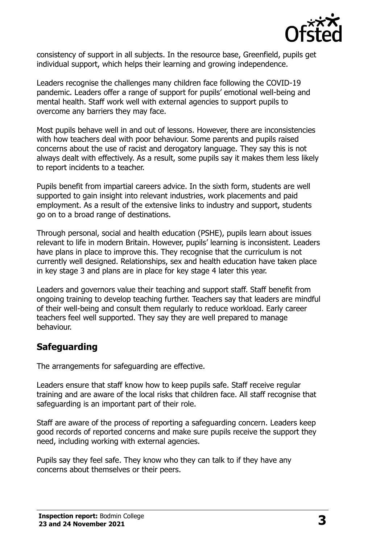

consistency of support in all subjects. In the resource base, Greenfield, pupils get individual support, which helps their learning and growing independence.

Leaders recognise the challenges many children face following the COVID-19 pandemic. Leaders offer a range of support for pupils' emotional well-being and mental health. Staff work well with external agencies to support pupils to overcome any barriers they may face.

Most pupils behave well in and out of lessons. However, there are inconsistencies with how teachers deal with poor behaviour. Some parents and pupils raised concerns about the use of racist and derogatory language. They say this is not always dealt with effectively. As a result, some pupils say it makes them less likely to report incidents to a teacher.

Pupils benefit from impartial careers advice. In the sixth form, students are well supported to gain insight into relevant industries, work placements and paid employment. As a result of the extensive links to industry and support, students go on to a broad range of destinations.

Through personal, social and health education (PSHE), pupils learn about issues relevant to life in modern Britain. However, pupils' learning is inconsistent. Leaders have plans in place to improve this. They recognise that the curriculum is not currently well designed. Relationships, sex and health education have taken place in key stage 3 and plans are in place for key stage 4 later this year.

Leaders and governors value their teaching and support staff. Staff benefit from ongoing training to develop teaching further. Teachers say that leaders are mindful of their well-being and consult them regularly to reduce workload. Early career teachers feel well supported. They say they are well prepared to manage behaviour.

# **Safeguarding**

The arrangements for safeguarding are effective.

Leaders ensure that staff know how to keep pupils safe. Staff receive regular training and are aware of the local risks that children face. All staff recognise that safeguarding is an important part of their role.

Staff are aware of the process of reporting a safeguarding concern. Leaders keep good records of reported concerns and make sure pupils receive the support they need, including working with external agencies.

Pupils say they feel safe. They know who they can talk to if they have any concerns about themselves or their peers.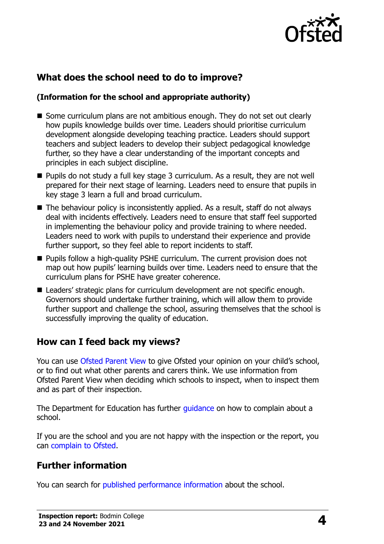

# **What does the school need to do to improve?**

#### **(Information for the school and appropriate authority)**

- Some curriculum plans are not ambitious enough. They do not set out clearly how pupils knowledge builds over time. Leaders should prioritise curriculum development alongside developing teaching practice. Leaders should support teachers and subject leaders to develop their subject pedagogical knowledge further, so they have a clear understanding of the important concepts and principles in each subject discipline.
- Pupils do not study a full key stage 3 curriculum. As a result, they are not well prepared for their next stage of learning. Leaders need to ensure that pupils in key stage 3 learn a full and broad curriculum.
- $\blacksquare$  The behaviour policy is inconsistently applied. As a result, staff do not always deal with incidents effectively. Leaders need to ensure that staff feel supported in implementing the behaviour policy and provide training to where needed. Leaders need to work with pupils to understand their experience and provide further support, so they feel able to report incidents to staff.
- **Pupils follow a high-quality PSHE curriculum. The current provision does not** map out how pupils' learning builds over time. Leaders need to ensure that the curriculum plans for PSHE have greater coherence.
- Leaders' strategic plans for curriculum development are not specific enough. Governors should undertake further training, which will allow them to provide further support and challenge the school, assuring themselves that the school is successfully improving the quality of education.

## **How can I feed back my views?**

You can use [Ofsted Parent View](http://parentview.ofsted.gov.uk/) to give Ofsted your opinion on your child's school, or to find out what other parents and carers think. We use information from Ofsted Parent View when deciding which schools to inspect, when to inspect them and as part of their inspection.

The Department for Education has further *quidance* on how to complain about a school.

If you are the school and you are not happy with the inspection or the report, you can [complain to Ofsted.](http://www.gov.uk/complain-ofsted-report)

## **Further information**

You can search for [published performance information](http://www.compare-school-performance.service.gov.uk/) about the school.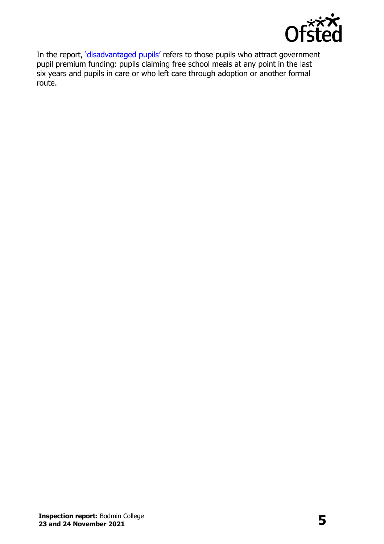

In the report, '[disadvantaged pupils](http://www.gov.uk/guidance/pupil-premium-information-for-schools-and-alternative-provision-settings)' refers to those pupils who attract government pupil premium funding: pupils claiming free school meals at any point in the last six years and pupils in care or who left care through adoption or another formal route.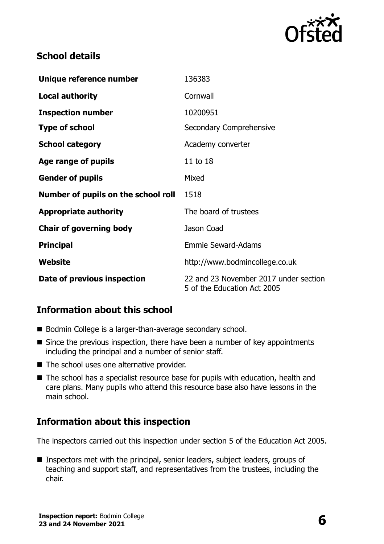

## **School details**

| Unique reference number             | 136383                                                               |  |
|-------------------------------------|----------------------------------------------------------------------|--|
| <b>Local authority</b>              | Cornwall                                                             |  |
| <b>Inspection number</b>            | 10200951                                                             |  |
| <b>Type of school</b>               | Secondary Comprehensive                                              |  |
| <b>School category</b>              | Academy converter                                                    |  |
| Age range of pupils                 | 11 to 18                                                             |  |
| <b>Gender of pupils</b>             | Mixed                                                                |  |
| Number of pupils on the school roll | 1518                                                                 |  |
| <b>Appropriate authority</b>        | The board of trustees                                                |  |
| <b>Chair of governing body</b>      | Jason Coad                                                           |  |
| <b>Principal</b>                    | <b>Emmie Seward-Adams</b>                                            |  |
| Website                             | http://www.bodmincollege.co.uk                                       |  |
| Date of previous inspection         | 22 and 23 November 2017 under section<br>5 of the Education Act 2005 |  |

# **Information about this school**

- Bodmin College is a larger-than-average secondary school.
- Since the previous inspection, there have been a number of key appointments including the principal and a number of senior staff.
- The school uses one alternative provider.
- The school has a specialist resource base for pupils with education, health and care plans. Many pupils who attend this resource base also have lessons in the main school.

## **Information about this inspection**

The inspectors carried out this inspection under section 5 of the Education Act 2005.

**Inspectors met with the principal, senior leaders, subject leaders, groups of** teaching and support staff, and representatives from the trustees, including the chair.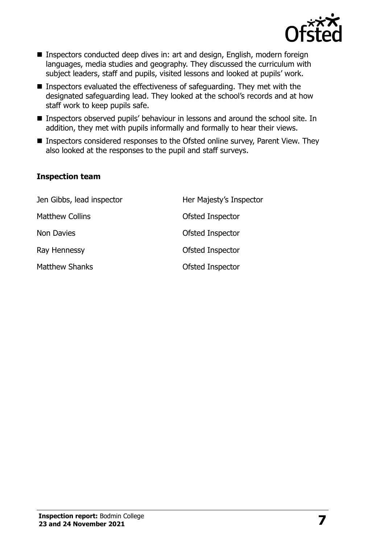

- Inspectors conducted deep dives in: art and design, English, modern foreign languages, media studies and geography. They discussed the curriculum with subject leaders, staff and pupils, visited lessons and looked at pupils' work.
- Inspectors evaluated the effectiveness of safeguarding. They met with the designated safeguarding lead. They looked at the school's records and at how staff work to keep pupils safe.
- Inspectors observed pupils' behaviour in lessons and around the school site. In addition, they met with pupils informally and formally to hear their views.
- Inspectors considered responses to the Ofsted online survey, Parent View. They also looked at the responses to the pupil and staff surveys.

#### **Inspection team**

| Jen Gibbs, lead inspector | Her Majesty's Inspector |
|---------------------------|-------------------------|
| <b>Matthew Collins</b>    | Ofsted Inspector        |
| Non Davies                | Ofsted Inspector        |
| Ray Hennessy              | Ofsted Inspector        |
| <b>Matthew Shanks</b>     | Ofsted Inspector        |